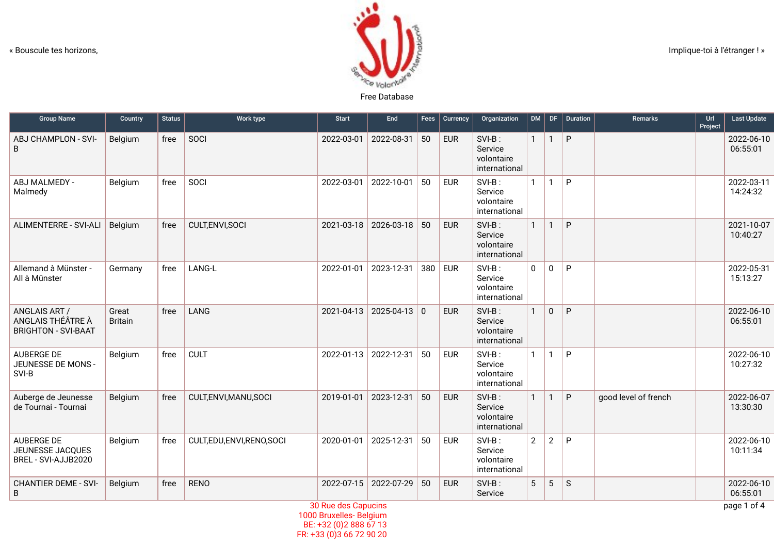

| <b>Group Name</b>                                                | Country                 | <b>Status</b> | Work type               | <b>Start</b> | End                | Fees | Currency   | Organization                                     | DM             | DF             | Duration    | Remarks              | Url<br>Project | <b>Last Update</b>     |
|------------------------------------------------------------------|-------------------------|---------------|-------------------------|--------------|--------------------|------|------------|--------------------------------------------------|----------------|----------------|-------------|----------------------|----------------|------------------------|
| ABJ CHAMPLON - SVI-<br>B                                         | Belgium                 | free          | SOCI                    | 2022-03-01   | 2022-08-31         | 50   | <b>EUR</b> | SVI-B:<br>Service<br>volontaire<br>international | $\mathbf{1}$   | $\overline{1}$ | P           |                      |                | 2022-06-10<br>06:55:01 |
| ABJ MALMEDY -<br>Malmedy                                         | Belgium                 | free          | SOCI                    | 2022-03-01   | 2022-10-01         | 50   | <b>EUR</b> | SVI-B:<br>Service<br>volontaire<br>international | $\mathbf{1}$   | $\mathbf{1}$   | P           |                      |                | 2022-03-11<br>14:24:32 |
| ALIMENTERRE - SVI-ALI                                            | Belgium                 | free          | CULT, ENVI, SOCI        | 2021-03-18   | 2026-03-18         | 50   | <b>EUR</b> | SVI-B:<br>Service<br>volontaire<br>international | $\mathbf{1}$   | $\mathbf{1}$   | P           |                      |                | 2021-10-07<br>10:40:27 |
| Allemand à Münster -<br>All à Münster                            | Germany                 | free          | LANG-L                  | 2022-01-01   | 2023-12-31         | 380  | <b>EUR</b> | SVI-B:<br>Service<br>volontaire<br>international | $\mathbf 0$    | $\mathbf 0$    | P           |                      |                | 2022-05-31<br>15:13:27 |
| ANGLAIS ART /<br>ANGLAIS THÉÂTRE À<br><b>BRIGHTON - SVI-BAAT</b> | Great<br><b>Britain</b> | free          | LANG                    | 2021-04-13   | $2025 - 04 - 13$ 0 |      | <b>EUR</b> | SVI-B:<br>Service<br>volontaire<br>international | $\mathbf{1}$   | $\mathbf 0$    | P           |                      |                | 2022-06-10<br>06:55:01 |
| AUBERGE DE<br>JEUNESSE DE MONS -<br>SVI-B                        | Belgium                 | free          | <b>CULT</b>             | 2022-01-13   | 2022-12-31         | 50   | <b>EUR</b> | SVI-B:<br>Service<br>volontaire<br>international | 1              | $\mathbf{1}$   | P           |                      |                | 2022-06-10<br>10:27:32 |
| Auberge de Jeunesse<br>de Tournai - Tournai                      | Belgium                 | free          | CULT, ENVI, MANU, SOCI  | 2019-01-01   | 2023-12-31         | 50   | <b>EUR</b> | SVI-B:<br>Service<br>volontaire<br>international | $\mathbf{1}$   | $\mathbf{1}$   | $\sf P$     | good level of french |                | 2022-06-07<br>13:30:30 |
| AUBERGE DE<br>JEUNESSE JACQUES<br>BREL - SVI-AJJB2020            | Belgium                 | free          | CULT,EDU,ENVI,RENO,SOCI | 2020-01-01   | 2025-12-31         | 50   | <b>EUR</b> | SVI-B:<br>Service<br>volontaire<br>international | $\overline{2}$ | $\overline{2}$ | P           |                      |                | 2022-06-10<br>10:11:34 |
| <b>CHANTIER DEME - SVI-</b><br>B                                 | Belgium                 | free          | <b>RENO</b>             | 2022-07-15   | 2022-07-29         | 50   | <b>EUR</b> | SVI-B:<br>Service                                | 5              | $\overline{5}$ | $\mathsf S$ |                      |                | 2022-06-10<br>06:55:01 |
|                                                                  | 30 Rue des Capucins     |               |                         |              |                    |      |            |                                                  |                |                |             |                      | page 1 of 4    |                        |

1000 Bruxelles- Belgium BE: +32 (0)2 888 67 13 FR: +33 (0)3 66 72 90 20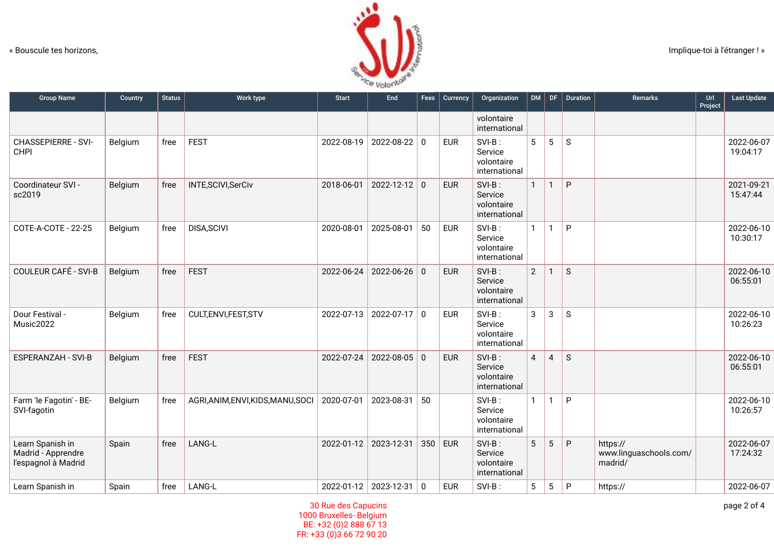

| <b>Group Name</b>                                             | Country | <b>Status</b> | Work type                          | <b>Start</b> | End                   | Fees | Currency   | Organization                                        | DM             | DF             | Duration     | <b>Remarks</b>                                | Url<br>Project | <b>Last Update</b>     |
|---------------------------------------------------------------|---------|---------------|------------------------------------|--------------|-----------------------|------|------------|-----------------------------------------------------|----------------|----------------|--------------|-----------------------------------------------|----------------|------------------------|
|                                                               |         |               |                                    |              |                       |      |            | volontaire<br>international                         |                |                |              |                                               |                |                        |
| <b>CHASSEPIERRE - SVI-</b><br><b>CHPI</b>                     | Belgium | free          | <b>FEST</b>                        | 2022-08-19   | $2022 - 08 - 22$ 0    |      | <b>EUR</b> | SVI-B:<br>Service<br>volontaire<br>international    | 5              | 5              | $\mathsf{S}$ |                                               |                | 2022-06-07<br>19:04:17 |
| Coordinateur SVI -<br>sc2019                                  | Belgium | free          | INTE, SCIVI, SerCiv                | 2018-06-01   | $2022 - 12 - 12$ 0    |      | <b>EUR</b> | $SVI-B$ :<br>Service<br>volontaire<br>international | $\mathbf{1}$   | $\mathbf{1}$   | P            |                                               |                | 2021-09-21<br>15:47:44 |
| COTE-A-COTE - 22-25                                           | Belgium | free          | DISA, SCIVI                        | 2020-08-01   | 2025-08-01            | 50   | <b>EUR</b> | $SVI-B$ :<br>Service<br>volontaire<br>international | $\mathbf{1}$   | $\mathbf{1}$   | P            |                                               |                | 2022-06-10<br>10:30:17 |
| <b>COULEUR CAFÉ - SVI-B</b>                                   | Belgium | free          | <b>FEST</b>                        | 2022-06-24   | $2022 - 06 - 26$ 0    |      | <b>EUR</b> | SVI-B:<br>Service<br>volontaire<br>international    | $\overline{2}$ | $\mathbf{1}$   | $\mathsf{S}$ |                                               |                | 2022-06-10<br>06:55:01 |
| Dour Festival -<br>Music2022                                  | Belgium | free          | CULT, ENVI, FEST, STV              | 2022-07-13   | $2022 - 07 - 17$ 0    |      | <b>EUR</b> | SVI-B:<br>Service<br>volontaire<br>international    | 3              | $\mathbf{3}$   | $\mathsf{S}$ |                                               |                | 2022-06-10<br>10:26:23 |
| <b>ESPERANZAH - SVI-B</b>                                     | Belgium | free          | <b>FEST</b>                        | 2022-07-24   | $2022 - 08 - 05$ 0    |      | <b>EUR</b> | $SVI-B$ :<br>Service<br>volontaire<br>international | $\overline{4}$ | $\overline{4}$ | $\mathsf{S}$ |                                               |                | 2022-06-10<br>06:55:01 |
| Farm 'le Fagotin' - BE-<br>SVI-fagotin                        | Belgium | free          | AGRI, ANIM, ENVI, KIDS, MANU, SOCI | 2020-07-01   | 2023-08-31            | 50   |            | $SVI-B$ :<br>Service<br>volontaire<br>international | $\mathbf{1}$   | $\mathbf{1}$   | P            |                                               |                | 2022-06-10<br>10:26:57 |
| Learn Spanish in<br>Madrid - Apprendre<br>l'espagnol à Madrid | Spain   | free          | LANG-L                             | 2022-01-12   | 2023-12-31            | 350  | <b>EUR</b> | $SVI-B$ :<br>Service<br>volontaire<br>international | 5              | 5              | P            | https://<br>www.linguaschools.com/<br>madrid/ |                | 2022-06-07<br>17:24:32 |
| Learn Spanish in                                              | Spain   | free          | LANG-L                             |              | 2022-01-12 2023-12-31 | 0    | <b>EUR</b> | SVI-B:                                              | 5              | 5              | P            | https://                                      |                | 2022-06-07             |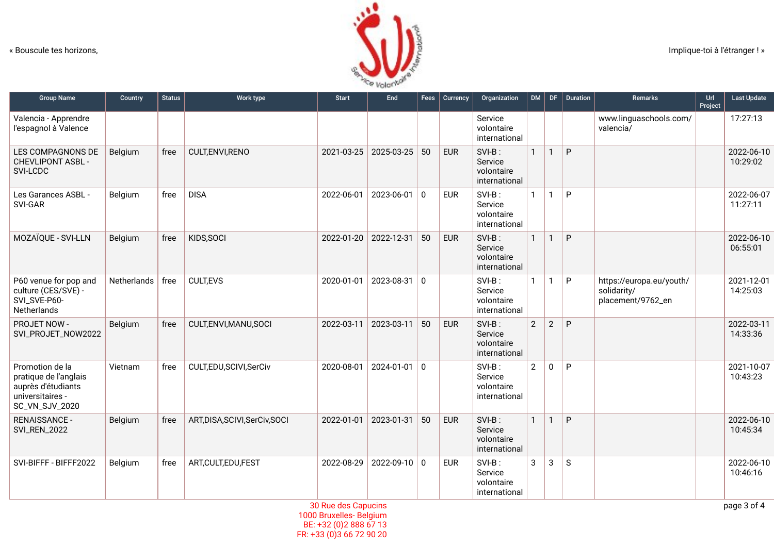

| <b>Group Name</b>                                                                                    | Country     | <b>Status</b> | Work type                  | <b>Start</b> | End              | Fees         | Currency   | Organization                                        | DM             | DF             | <b>Duration</b> | Remarks                                                      | Url<br>Project | <b>Last Update</b>     |
|------------------------------------------------------------------------------------------------------|-------------|---------------|----------------------------|--------------|------------------|--------------|------------|-----------------------------------------------------|----------------|----------------|-----------------|--------------------------------------------------------------|----------------|------------------------|
| Valencia - Apprendre<br>l'espagnol à Valence                                                         |             |               |                            |              |                  |              |            | Service<br>volontaire<br>international              |                |                |                 | www.linguaschools.com/<br>valencia/                          |                | 17:27:13               |
| LES COMPAGNONS DE<br><b>CHEVLIPONT ASBL -</b><br>SVI-LCDC                                            | Belgium     | free          | CULT, ENVI, RENO           | 2021-03-25   | 2025-03-25       | 50           | <b>EUR</b> | SVI-B:<br>Service<br>volontaire<br>international    | $\mathbf{1}$   | $\mathbf{1}$   | P               |                                                              |                | 2022-06-10<br>10:29:02 |
| Les Garances ASBL -<br>SVI-GAR                                                                       | Belgium     | free          | <b>DISA</b>                | 2022-06-01   | 2023-06-01       | $\Omega$     | <b>EUR</b> | SVI-B:<br>Service<br>volontaire<br>international    | $\mathbf{1}$   | $\mathbf{1}$   | P               |                                                              |                | 2022-06-07<br>11:27:11 |
| MOZAÏQUE - SVI-LLN                                                                                   | Belgium     | free          | KIDS, SOCI                 | 2022-01-20   | 2022-12-31       | 50           | <b>EUR</b> | SVI-B:<br>Service<br>volontaire<br>international    | $\mathbf{1}$   | $\mathbf{1}$   | P               |                                                              |                | 2022-06-10<br>06:55:01 |
| P60 venue for pop and<br>culture (CES/SVE) -<br>SVI_SVE-P60-<br>Netherlands                          | Netherlands | free          | <b>CULT,EVS</b>            | 2020-01-01   | $2023 - 08 - 31$ | $\mathbf{0}$ |            | SVI-B:<br>Service<br>volontaire<br>international    | $\mathbf{1}$   | $\mathbf{1}$   | P               | https://europa.eu/youth/<br>solidarity/<br>placement/9762_en |                | 2021-12-01<br>14:25:03 |
| <b>PROJET NOW -</b><br>SVI_PROJET_NOW2022                                                            | Belgium     | free          | CULT, ENVI, MANU, SOCI     | 2022-03-11   | 2023-03-11       | 50           | <b>EUR</b> | SVI-B:<br>Service<br>volontaire<br>international    | $\overline{2}$ | $\overline{2}$ | P               |                                                              |                | 2022-03-11<br>14:33:36 |
| Promotion de la<br>pratique de l'anglais<br>auprès d'étudiants<br>universitaires -<br>SC_VN_SJV_2020 | Vietnam     | free          | CULT,EDU,SCIVI,SerCiv      | 2020-08-01   | $2024 - 01 - 01$ | $\mathbf 0$  |            | SVI-B:<br>Service<br>volontaire<br>international    | $2^{\circ}$    | $\mathbf 0$    | P               |                                                              |                | 2021-10-07<br>10:43:23 |
| <b>RENAISSANCE -</b><br><b>SVI_REN_2022</b>                                                          | Belgium     | free          | ART,DISA,SCIVI,SerCiv,SOCI | 2022-01-01   | 2023-01-31       | 50           | <b>EUR</b> | $SVI-B$ :<br>Service<br>volontaire<br>international | $\mathbf{1}$   | $\mathbf{1}$   | P               |                                                              |                | 2022-06-10<br>10:45:34 |
| SVI-BIFFF - BIFFF2022                                                                                | Belgium     | free          | ART, CULT, EDU, FEST       | 2022-08-29   | 2022-09-10       | $\mathbf 0$  | <b>EUR</b> | SVI-B:<br>Service<br>volontaire<br>international    | 3              | 3              | $\mathsf{S}$    |                                                              |                | 2022-06-10<br>10:46:16 |

30 Rue des Capucins 1000 Bruxelles- Belgium BE: +32 (0)2 888 67 13 FR: +33 (0)3 66 72 90 20